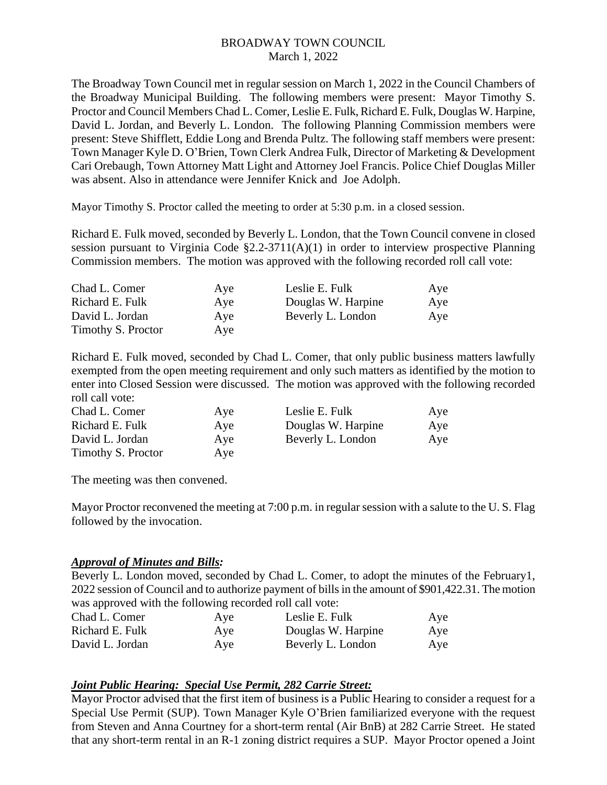The Broadway Town Council met in regular session on March 1, 2022 in the Council Chambers of the Broadway Municipal Building. The following members were present: Mayor Timothy S. Proctor and Council Members Chad L. Comer, Leslie E. Fulk, Richard E. Fulk, Douglas W. Harpine, David L. Jordan, and Beverly L. London. The following Planning Commission members were present: Steve Shifflett, Eddie Long and Brenda Pultz. The following staff members were present: Town Manager Kyle D. O'Brien, Town Clerk Andrea Fulk, Director of Marketing & Development Cari Orebaugh, Town Attorney Matt Light and Attorney Joel Francis. Police Chief Douglas Miller was absent. Also in attendance were Jennifer Knick and Joe Adolph.

Mayor Timothy S. Proctor called the meeting to order at 5:30 p.m. in a closed session.

Richard E. Fulk moved, seconded by Beverly L. London, that the Town Council convene in closed session pursuant to Virginia Code §2.2-3711(A)(1) in order to interview prospective Planning Commission members. The motion was approved with the following recorded roll call vote:

| Chad L. Comer      | Aye | Leslie E. Fulk     | Aye |
|--------------------|-----|--------------------|-----|
| Richard E. Fulk    | Aye | Douglas W. Harpine | Aye |
| David L. Jordan    | Aye | Beverly L. London  | Aye |
| Timothy S. Proctor | Aye |                    |     |

Richard E. Fulk moved, seconded by Chad L. Comer, that only public business matters lawfully exempted from the open meeting requirement and only such matters as identified by the motion to enter into Closed Session were discussed. The motion was approved with the following recorded roll call vote:

| Chad L. Comer      | Aye | Leslie E. Fulk     | Aye |
|--------------------|-----|--------------------|-----|
| Richard E. Fulk    | Aye | Douglas W. Harpine | Aye |
| David L. Jordan    | Aye | Beverly L. London  | Aye |
| Timothy S. Proctor | Aye |                    |     |

The meeting was then convened.

Mayor Proctor reconvened the meeting at 7:00 p.m. in regular session with a salute to the U. S. Flag followed by the invocation.

#### *Approval of Minutes and Bills:*

Beverly L. London moved, seconded by Chad L. Comer, to adopt the minutes of the February1, 2022 session of Council and to authorize payment of bills in the amount of \$901,422.31. The motion was approved with the following recorded roll call vote:

| Chad L. Comer   | Aye | Leslie E. Fulk     | Aye |
|-----------------|-----|--------------------|-----|
| Richard E. Fulk | Aye | Douglas W. Harpine | Aye |
| David L. Jordan | Aye | Beverly L. London  | Aye |

#### *Joint Public Hearing: Special Use Permit, 282 Carrie Street:*

Mayor Proctor advised that the first item of business is a Public Hearing to consider a request for a Special Use Permit (SUP). Town Manager Kyle O'Brien familiarized everyone with the request from Steven and Anna Courtney for a short-term rental (Air BnB) at 282 Carrie Street. He stated that any short-term rental in an R-1 zoning district requires a SUP. Mayor Proctor opened a Joint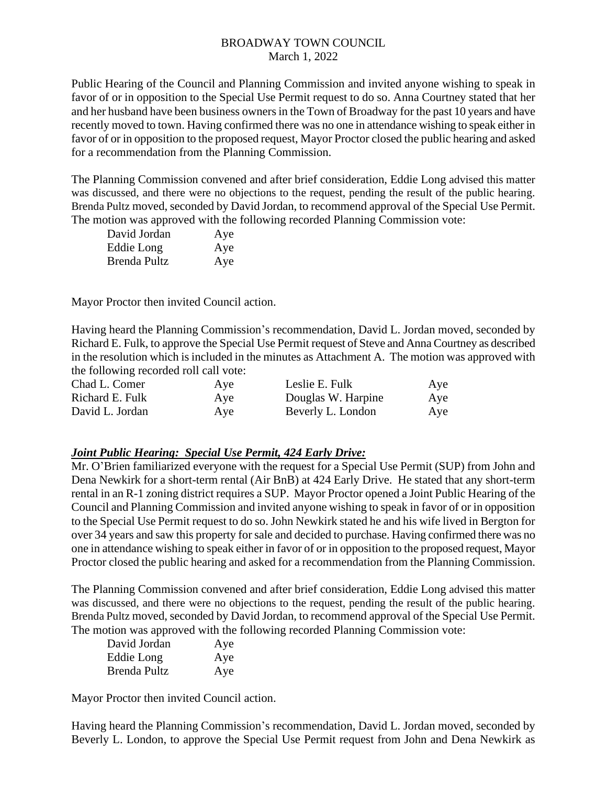Public Hearing of the Council and Planning Commission and invited anyone wishing to speak in favor of or in opposition to the Special Use Permit request to do so. Anna Courtney stated that her and her husband have been business owners in the Town of Broadway for the past 10 years and have recently moved to town. Having confirmed there was no one in attendance wishing to speak either in favor of or in opposition to the proposed request, Mayor Proctor closed the public hearing and asked for a recommendation from the Planning Commission.

The Planning Commission convened and after brief consideration, Eddie Long advised this matter was discussed, and there were no objections to the request, pending the result of the public hearing. Brenda Pultz moved, seconded by David Jordan, to recommend approval of the Special Use Permit. The motion was approved with the following recorded Planning Commission vote:

| David Jordan | Aye |
|--------------|-----|
| Eddie Long   | Aye |
| Brenda Pultz | Aye |

Mayor Proctor then invited Council action.

Having heard the Planning Commission's recommendation, David L. Jordan moved, seconded by Richard E. Fulk, to approve the Special Use Permit request of Steve and Anna Courtney as described in the resolution which is included in the minutes as Attachment A. The motion was approved with the following recorded roll call vote:

| Chad L. Comer   | Aye | Leslie E. Fulk     | Aye |
|-----------------|-----|--------------------|-----|
| Richard E. Fulk | Aye | Douglas W. Harpine | Aye |
| David L. Jordan | Aye | Beverly L. London  | Aye |

## *Joint Public Hearing: Special Use Permit, 424 Early Drive:*

Mr. O'Brien familiarized everyone with the request for a Special Use Permit (SUP) from John and Dena Newkirk for a short-term rental (Air BnB) at 424 Early Drive. He stated that any short-term rental in an R-1 zoning district requires a SUP. Mayor Proctor opened a Joint Public Hearing of the Council and Planning Commission and invited anyone wishing to speak in favor of or in opposition to the Special Use Permit request to do so. John Newkirk stated he and his wife lived in Bergton for over 34 years and saw this property for sale and decided to purchase. Having confirmed there was no one in attendance wishing to speak either in favor of or in opposition to the proposed request, Mayor Proctor closed the public hearing and asked for a recommendation from the Planning Commission.

The Planning Commission convened and after brief consideration, Eddie Long advised this matter was discussed, and there were no objections to the request, pending the result of the public hearing. Brenda Pultz moved, seconded by David Jordan, to recommend approval of the Special Use Permit. The motion was approved with the following recorded Planning Commission vote:

| David Jordan | Aye |
|--------------|-----|
| Eddie Long   | Aye |
| Brenda Pultz | Aye |

Mayor Proctor then invited Council action.

Having heard the Planning Commission's recommendation, David L. Jordan moved, seconded by Beverly L. London, to approve the Special Use Permit request from John and Dena Newkirk as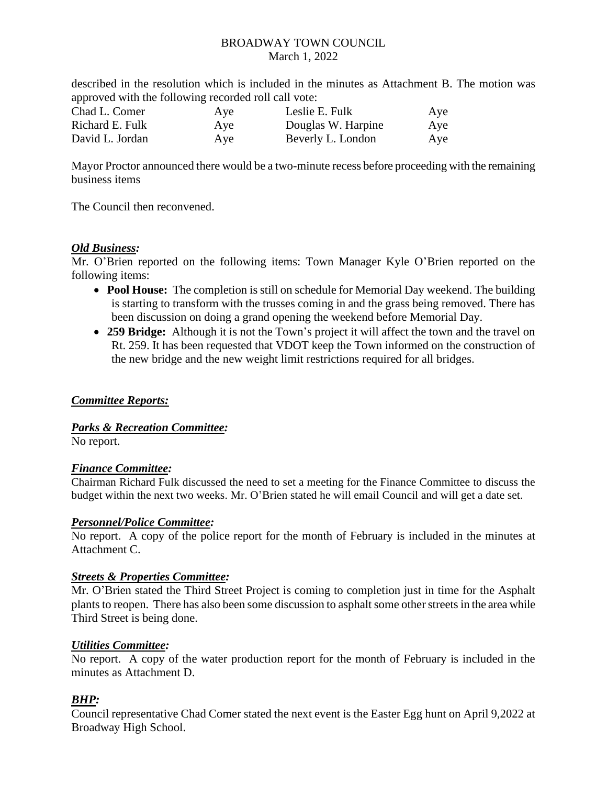described in the resolution which is included in the minutes as Attachment B. The motion was approved with the following recorded roll call vote:

| Chad L. Comer   | Aye | Leslie E. Fulk     | Aye |
|-----------------|-----|--------------------|-----|
| Richard E. Fulk | Aye | Douglas W. Harpine | Aye |
| David L. Jordan | Aye | Beverly L. London  | Aye |

Mayor Proctor announced there would be a two-minute recess before proceeding with the remaining business items

The Council then reconvened.

### *Old Business:*

Mr. O'Brien reported on the following items: Town Manager Kyle O'Brien reported on the following items:

- **Pool House:** The completion is still on schedule for Memorial Day weekend. The building is starting to transform with the trusses coming in and the grass being removed. There has been discussion on doing a grand opening the weekend before Memorial Day.
- **259 Bridge:** Although it is not the Town's project it will affect the town and the travel on Rt. 259. It has been requested that VDOT keep the Town informed on the construction of the new bridge and the new weight limit restrictions required for all bridges.

## *Committee Reports:*

#### *Parks & Recreation Committee:*

No report.

#### *Finance Committee:*

Chairman Richard Fulk discussed the need to set a meeting for the Finance Committee to discuss the budget within the next two weeks. Mr. O'Brien stated he will email Council and will get a date set.

#### *Personnel/Police Committee:*

No report. A copy of the police report for the month of February is included in the minutes at Attachment C.

#### *Streets & Properties Committee:*

Mr. O'Brien stated the Third Street Project is coming to completion just in time for the Asphalt plants to reopen. There has also been some discussion to asphalt some other streets in the area while Third Street is being done.

#### *Utilities Committee:*

No report. A copy of the water production report for the month of February is included in the minutes as Attachment D.

## *BHP:*

Council representative Chad Comer stated the next event is the Easter Egg hunt on April 9,2022 at Broadway High School.